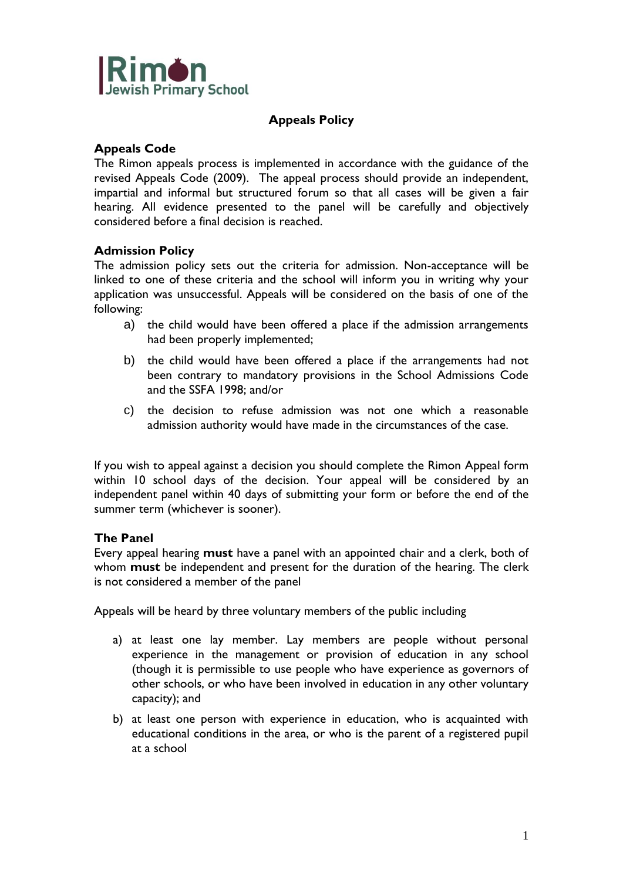

# **Appeals Policy**

## **Appeals Code**

The Rimon appeals process is implemented in accordance with the guidance of the revised Appeals Code (2009). The appeal process should provide an independent, impartial and informal but structured forum so that all cases will be given a fair hearing. All evidence presented to the panel will be carefully and objectively considered before a final decision is reached.

## **Admission Policy**

The admission policy sets out the criteria for admission. Non-acceptance will be linked to one of these criteria and the school will inform you in writing why your application was unsuccessful. Appeals will be considered on the basis of one of the following:

- a) the child would have been offered a place if the admission arrangements had been properly implemented;
- b) the child would have been offered a place if the arrangements had not been contrary to mandatory provisions in the School Admissions Code and the SSFA 1998; and/or
- c) the decision to refuse admission was not one which a reasonable admission authority would have made in the circumstances of the case.

If you wish to appeal against a decision you should complete the Rimon Appeal form within 10 school days of the decision. Your appeal will be considered by an independent panel within 40 days of submitting your form or before the end of the summer term (whichever is sooner).

## **The Panel**

Every appeal hearing **must** have a panel with an appointed chair and a clerk, both of whom **must** be independent and present for the duration of the hearing. The clerk is not considered a member of the panel

Appeals will be heard by three voluntary members of the public including

- a) at least one lay member. Lay members are people without personal experience in the management or provision of education in any school (though it is permissible to use people who have experience as governors of other schools, or who have been involved in education in any other voluntary capacity); and
- b) at least one person with experience in education, who is acquainted with educational conditions in the area, or who is the parent of a registered pupil at a school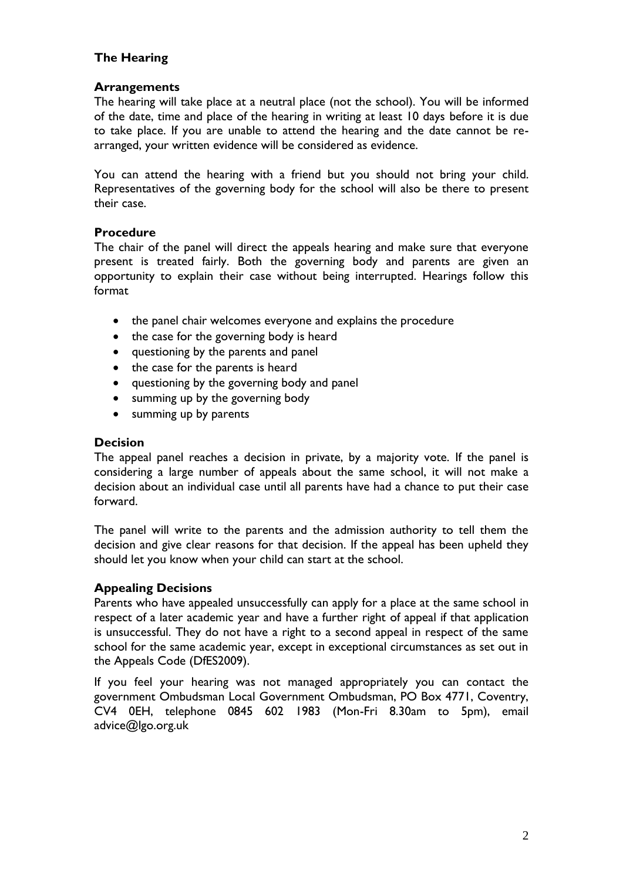# **The Hearing**

## **Arrangements**

The hearing will take place at a neutral place (not the school). You will be informed of the date, time and place of the hearing in writing at least 10 days before it is due to take place. If you are unable to attend the hearing and the date cannot be rearranged, your written evidence will be considered as evidence.

You can attend the hearing with a friend but you should not bring your child. Representatives of the governing body for the school will also be there to present their case.

## **Procedure**

The chair of the panel will direct the appeals hearing and make sure that everyone present is treated fairly. Both the governing body and parents are given an opportunity to explain their case without being interrupted. Hearings follow this format

- the panel chair welcomes everyone and explains the procedure
- the case for the governing body is heard
- questioning by the parents and panel
- the case for the parents is heard
- questioning by the governing body and panel
- summing up by the governing body
- summing up by parents

## **Decision**

The appeal panel reaches a decision in private, by a majority vote. If the panel is considering a large number of appeals about the same school, it will not make a decision about an individual case until all parents have had a chance to put their case forward.

The panel will write to the parents and the admission authority to tell them the decision and give clear reasons for that decision. If the appeal has been upheld they should let you know when your child can start at the school.

## **Appealing Decisions**

Parents who have appealed unsuccessfully can apply for a place at the same school in respect of a later academic year and have a further right of appeal if that application is unsuccessful. They do not have a right to a second appeal in respect of the same school for the same academic year, except in exceptional circumstances as set out in the Appeals Code (DfES2009).

If you feel your hearing was not managed appropriately you can contact the government Ombudsman Local Government Ombudsman, PO Box 4771, Coventry, CV4 0EH, telephone 0845 602 1983 (Mon-Fri 8.30am to 5pm), email [advice@lgo.org.uk](mailto:advice@lgo.org.uk)